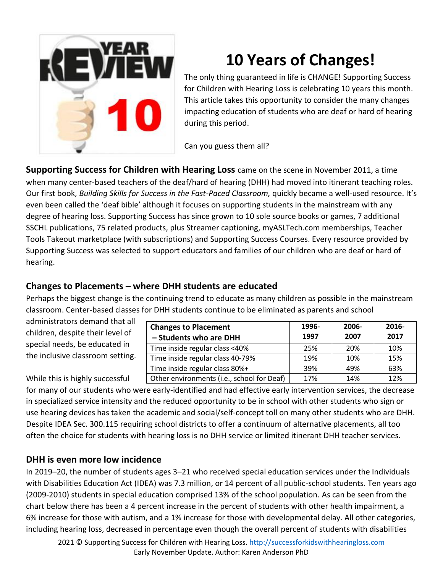

# **10 Years of Changes!**

The only thing guaranteed in life is CHANGE! Supporting Success for Children with Hearing Loss is celebrating 10 years this month. This article takes this opportunity to consider the many changes impacting education of students who are deaf or hard of hearing during this period.

Can you guess them all?

**Supporting Success for Children with Hearing Loss** came on the scene in November 2011, a time when many center-based teachers of the deaf/hard of hearing (DHH) had moved into itinerant teaching roles. Our first book, *Building Skills for Success in the Fast-Paced Classroom*, quickly became a well-used resource. It's even been called the 'deaf bible' although it focuses on supporting students in the mainstream with any degree of hearing loss. Supporting Success has since grown to 10 sole source books or games, 7 additional SSCHL publications, 75 related products, plus Streamer captioning, myASLTech.com memberships, Teacher Tools Takeout marketplace (with subscriptions) and Supporting Success Courses. Every resource provided by Supporting Success was selected to support educators and families of our children who are deaf or hard of hearing.

## **Changes to Placements – where DHH students are educated**

Perhaps the biggest change is the continuing trend to educate as many children as possible in the mainstream classroom. Center-based classes for DHH students continue to be eliminated as parents and school

administrators demand that all children, despite their level of special needs, be educated in the inclusive classroom setting.

| <b>Changes to Placement</b><br>- Students who are DHH | 1996-<br>1997 | 2006-<br>2007 | 2016-<br>2017 |
|-------------------------------------------------------|---------------|---------------|---------------|
| Time inside regular class <40%                        | 25%           | 20%           | 10%           |
| Time inside regular class 40-79%                      | 19%           | 10%           | 15%           |
| Time inside regular class 80%+                        | 39%           | 49%           | 63%           |
| Other environments (i.e., school for Deaf)            | 17%           | 14%           | 12%           |

### While this is highly successful

for many of our students who were early-identified and had effective early intervention services, the decrease in specialized service intensity and the reduced opportunity to be in school with other students who sign or use hearing devices has taken the academic and social/self-concept toll on many other students who are DHH. Despite IDEA Sec. 300.115 requiring school districts to offer a continuum of alternative placements, all too often the choice for students with hearing loss is no DHH service or limited itinerant DHH teacher services.

### **DHH is even more low incidence**

In 2019–20, the number of students ages 3–21 who received special education services under the Individuals with Disabilities Education Act (IDEA) was 7.3 million, or 14 percent of all public-school students. Ten years ago (2009-2010) students in special education comprised 13% of the school population. As can be seen from the chart below there has been a 4 percent increase in the percent of students with other health impairment, a 6% increase for those with autism, and a 1% increase for those with developmental delay. All other categories, including hearing loss, decreased in percentage even though the overall percent of students with disabilities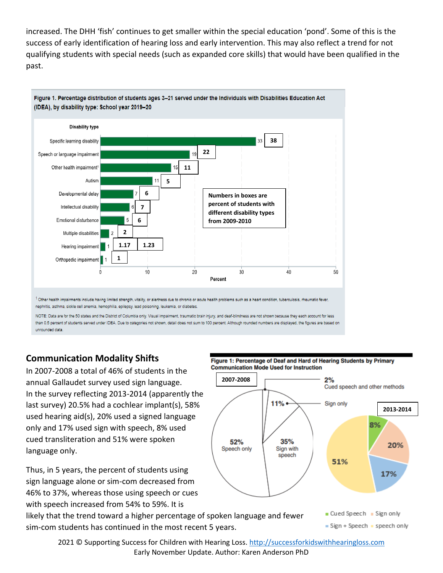increased. The DHH 'fish' continues to get smaller within the special education 'pond'. Some of this is the success of early identification of hearing loss and early intervention. This may also reflect a trend for not qualifying students with special needs (such as expanded core skills) that would have been qualified in the past.



NOTE: Data are for the 50 states and the District of Columbia only. Visual impairment, traumatic brain injury, and deaf-blindness are not shown because they each account for less than 0.5 percent of students served under IDEA. Due to categories not shown, detail does not sum to 100 percent. Although rounded numbers are displayed, the figures are based on unrounded data

### **Communication Modality Shifts**

In 2007-2008 a total of 46% of students in the annual Gallaudet survey used sign language. In the survey reflecting 2013-2014 (apparently the last survey) 20.5% had a cochlear implant(s), 58% used hearing aid(s), 20% used a signed language only and 17% used sign with speech, 8% used cued transliteration and 51% were spoken language only.

Thus, in 5 years, the percent of students using sign language alone or sim-com decreased from 46% to 37%, whereas those using speech or cues with speech increased from 54% to 59%. It is

sim-com students has continued in the most recent 5 years.





= Sign + Speech = speech only

2021 © Supporting Success for Children with Hearing Loss[. http://successforkidswithhearingloss.com](http://successforkidswithhearingloss.com/) Early November Update. Author: Karen Anderson PhD